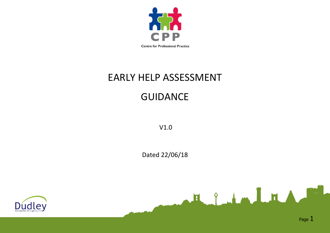

# EARLY HELP ASSESSMENT

## GUIDANCE

V1.0

Dated 22/06/18





F. J. L. L. L. L. L. L.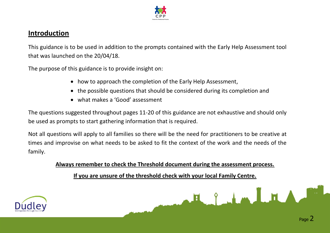

## **Introduction**

This guidance is to be used in addition to the prompts contained with the Early Help Assessment tool that was launched on the 20/04/18.

The purpose of this guidance is to provide insight on:

- how to approach the completion of the Early Help Assessment,
- the possible questions that should be considered during its completion and
- what makes a 'Good' assessment

The questions suggested throughout pages 11-20 of this guidance are not exhaustive and should only be used as prompts to start gathering information that is required.

Not all questions will apply to all families so there will be the need for practitioners to be creative at times and improvise on what needs to be asked to fit the context of the work and the needs of the family.

**Always remember to check the Threshold document during the assessment process.**

**If you are unsure of the threshold check with your local Family Centre.**



Helen LEA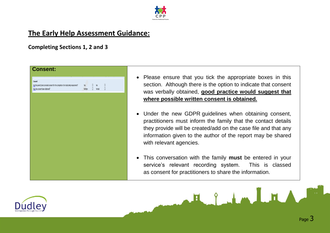

## **The Early Help Assessment Guidance:**

**Completing Sections 1, 2 and 3**



- Please ensure that you tick the appropriate boxes in this section. Although there is the option to indicate that consent was verbally obtained, **good practice would suggest that where possible written consent is obtained.**
- Under the new GDPR guidelines when obtaining consent, practitioners must inform the family that the contact details they provide will be created/add on the case file and that any information given to the author of the report may be shared with relevant agencies.
- This conversation with the family **must** be entered in your service's relevant recording system. This is classed as consent for practitioners to share the information.

H Julm LH

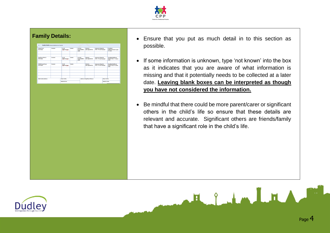

| 1.                                             | Family Details (these ant additional rows if required) |                       |         |                                        |                                 |                                                             |              |                                                                |
|------------------------------------------------|--------------------------------------------------------|-----------------------|---------|----------------------------------------|---------------------------------|-------------------------------------------------------------|--------------|----------------------------------------------------------------|
| Parent/Carer<br><b>First Name</b>              | Surname                                                | 0.0.8<br>(dd/mm/yyyy) | Gender  | Parental<br>Responsibility?<br>(Y/94)  | Ethnicity<br>(See Appendix A)   | <b>Interpreter Required</b><br>(V/N)-If Y state language)   |              | Disability/<br>Additional Needs? (Y/K)-<br><b>If Y statell</b> |
|                                                |                                                        |                       |         |                                        |                                 |                                                             |              |                                                                |
| Significant Other/s<br><b>First Name</b>       | Surname                                                | 0.0.8<br>(dd/mm/yyyyd | Geneter | Parental<br>Responsibility?<br>(17/74) | Ethnicity<br>(See Appendix A)   | <b>Interpreter Required</b><br>(V/N)-If Y state language)   |              | Disability/Additional<br>Needs? (V/K) - If Y please<br>state)  |
|                                                |                                                        |                       |         |                                        |                                 |                                                             |              |                                                                |
| <b>Child/Young Person</b><br><b>First Name</b> | Sumame                                                 | 0.0.8<br>(dd/mm/yyyy) | Gender  |                                        | Ethnicity<br>(See Appendix A)   | <b>Interpreter Required</b><br>(Y/N) - If Y state language) |              | Disability/Additional<br>Needs? (Y/N)- If Y planse<br>state)   |
|                                                |                                                        |                       |         |                                        |                                 |                                                             |              |                                                                |
|                                                |                                                        |                       |         |                                        |                                 |                                                             |              |                                                                |
|                                                |                                                        |                       |         |                                        |                                 |                                                             |              |                                                                |
|                                                |                                                        |                       |         |                                        |                                 |                                                             |              |                                                                |
| Main Family Address:                           |                                                        | Home Tel No.          |         |                                        | Address of Significant Other/s: |                                                             | Home Tel No. |                                                                |

- **Family Details: Ensure that you put as much detail in to this section as** possible.
	- If some information is unknown, type 'not known' into the box as it indicates that you are aware of what information is missing and that it potentially needs to be collected at a later date. **Leaving blank boxes can be interpreted as though you have not considered the information.**
	- Be mindful that there could be more parent/carer or significant others in the child's life so ensure that these details are relevant and accurate. Significant others are friends/family that have a significant role in the child's life.



Herbert LHA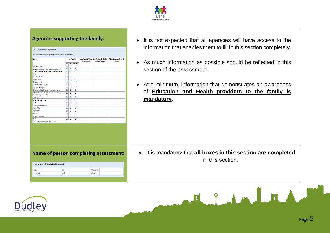

| 2. Agencies supporting the family                                                              |                                |                                                                     |                                                                  | information that enables them to fill in this section completely.                  |
|------------------------------------------------------------------------------------------------|--------------------------------|---------------------------------------------------------------------|------------------------------------------------------------------|------------------------------------------------------------------------------------|
| What services have previously been or are currently involved with this family                  |                                |                                                                     |                                                                  |                                                                                    |
| Service                                                                                        | Involvement                    | Name/Contact Details<br>of Professional<br><b>Receiving Support</b> | Name/s of Family Member   Dates Intervention Received<br>From/To | • As much information as possible should be reflected in this                      |
| Children's Social Care                                                                         | Yes No Not Known<br>$\Box$     |                                                                     |                                                                  |                                                                                    |
| Children's Adolescent Mental Health Service (CAMHS)                                            | 10 I O I<br>л.                 |                                                                     |                                                                  | section of the assessment.                                                         |
| Special Educational Needs/Children's Disability/ Sensory                                       | 미미<br>$\Box$                   |                                                                     |                                                                  |                                                                                    |
| Impairment                                                                                     |                                |                                                                     |                                                                  |                                                                                    |
| Nursery provision                                                                              | $\Box$                         |                                                                     |                                                                  |                                                                                    |
| Primary school                                                                                 | $\Box$<br>00                   |                                                                     |                                                                  |                                                                                    |
| Secondary School                                                                               | 10 I O I<br>$\Box$             |                                                                     |                                                                  |                                                                                    |
| Further Education provision                                                                    | $\Box$                         |                                                                     |                                                                  | At a minimum, information that demonstrates an awareness<br>$\bullet$              |
| Education Psychology                                                                           | о<br><b>OIO</b>                |                                                                     |                                                                  |                                                                                    |
| Education Welfare/Educational Investigation Service                                            | $\Box$<br>  0   0              |                                                                     |                                                                  |                                                                                    |
| Adult Services (Mental Health/Substance Misuse, Disability/ Specialist                         | П                              |                                                                     |                                                                  | of <b>Education and Health providers to the family is</b>                          |
| Health/Older People's Services/Other)                                                          |                                |                                                                     |                                                                  |                                                                                    |
| Housing                                                                                        | 10101 D                        |                                                                     |                                                                  | mandatory.                                                                         |
| Youth Offending Service                                                                        | $\Box$<br>00                   |                                                                     |                                                                  |                                                                                    |
| Police                                                                                         | $\Box$<br>  0   0              |                                                                     |                                                                  |                                                                                    |
| Domestic Violence Support<br>Health Visitor                                                    | 10 I O I<br>$\Box$<br>o<br>0 0 |                                                                     |                                                                  |                                                                                    |
| School Nurse                                                                                   |                                |                                                                     |                                                                  |                                                                                    |
| Midwife                                                                                        | $\Box$<br>10 I O I<br>0000     |                                                                     |                                                                  |                                                                                    |
|                                                                                                | $\Box$                         |                                                                     |                                                                  |                                                                                    |
| General Practitioner                                                                           |                                |                                                                     |                                                                  |                                                                                    |
| Dentist<br>Other intervention not listed: (Please state)                                       | 000                            |                                                                     |                                                                  |                                                                                    |
|                                                                                                |                                |                                                                     |                                                                  |                                                                                    |
| Name of person completing assessment:<br>Name of person undertaking this Early Help Assessment |                                |                                                                     |                                                                  | • It is mandatory that all boxes in this section are completed<br>in this section. |
| Name                                                                                           |                                |                                                                     |                                                                  |                                                                                    |
| Contact No.                                                                                    | Role:<br>Email:                | Organisation:<br>Address:                                           |                                                                  |                                                                                    |
|                                                                                                |                                |                                                                     |                                                                  |                                                                                    |

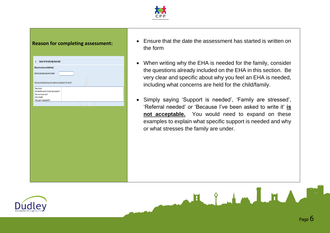

| Reason for the Early Help Assessment<br>3.                                                                                                                   |  |
|--------------------------------------------------------------------------------------------------------------------------------------------------------------|--|
| (Please do not leave any fields blank)                                                                                                                       |  |
| Date this Early Help Assessment started:                                                                                                                     |  |
| Why does an Early Help Assessment need to be completed for this family?                                                                                      |  |
| Please include;<br>Who identified a need for this Early Help Assessment?<br>What work has been done?<br>Who is involved?<br>What support is being asked for? |  |
|                                                                                                                                                              |  |
|                                                                                                                                                              |  |
|                                                                                                                                                              |  |
|                                                                                                                                                              |  |
|                                                                                                                                                              |  |
|                                                                                                                                                              |  |
|                                                                                                                                                              |  |
|                                                                                                                                                              |  |
|                                                                                                                                                              |  |
|                                                                                                                                                              |  |
|                                                                                                                                                              |  |
|                                                                                                                                                              |  |

- **Reason for completing assessment:**  $\bullet$  Ensure that the date the assessment has started is written on the form
	- When writing why the EHA is needed for the family, consider the questions already included on the EHA in this section. Be very clear and specific about why you feel an EHA is needed, including what concerns are held for the child/family.
	- Simply saying 'Support is needed', 'Family are stressed', 'Referral needed' or 'Because I've been asked to write it' **is not acceptable.** You would need to expand on these examples to explain what specific support is needed and why or what stresses the family are under.

Helen LH

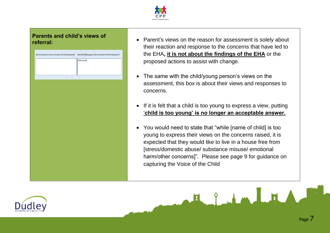

## **Parents and child's views of**

| What are the parent/carer's views on the reasons for the Early Help Assessment? What are the child/young person's views on the reasons for the Early Help Assessment? |
|-----------------------------------------------------------------------------------------------------------------------------------------------------------------------|
| In their own words                                                                                                                                                    |
|                                                                                                                                                                       |
|                                                                                                                                                                       |
|                                                                                                                                                                       |
|                                                                                                                                                                       |
|                                                                                                                                                                       |
|                                                                                                                                                                       |
|                                                                                                                                                                       |
|                                                                                                                                                                       |
|                                                                                                                                                                       |
|                                                                                                                                                                       |
|                                                                                                                                                                       |
|                                                                                                                                                                       |
|                                                                                                                                                                       |
|                                                                                                                                                                       |
|                                                                                                                                                                       |
|                                                                                                                                                                       |
|                                                                                                                                                                       |
|                                                                                                                                                                       |
|                                                                                                                                                                       |
|                                                                                                                                                                       |
|                                                                                                                                                                       |
|                                                                                                                                                                       |
|                                                                                                                                                                       |
|                                                                                                                                                                       |
|                                                                                                                                                                       |
|                                                                                                                                                                       |
|                                                                                                                                                                       |

- **referral: Parent's views on the reason for assessment is solely about** their reaction and response to the concerns that have led to the EHA**, it is not about the findings of the EHA** or the proposed actions to assist with change.
	- The same with the child/young person's views on the assessment, this box is about their views and responses to concerns.
	- If it is felt that a child is too young to express a view, putting '**child is too young' is no longer an acceptable answer.**
	- You would need to state that "while [name of child] is too young to express their views on the concerns raised, it is expected that they would like to live in a house free from [stress/domestic abuse/ substance misuse/ emotional harm/other concerns]". Please see page 9 for guidance on capturing the Voice of the Child

F. J. L. L. L. T.

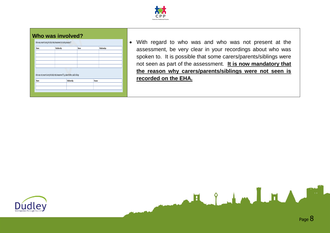

### **Who was involved?**

| Name | Relationship                                                                             |              | Name |        | Relationships |
|------|------------------------------------------------------------------------------------------|--------------|------|--------|---------------|
|      |                                                                                          |              |      |        |               |
|      |                                                                                          |              |      |        |               |
|      |                                                                                          |              |      |        |               |
|      |                                                                                          |              |      |        |               |
|      |                                                                                          |              |      |        |               |
|      | Who was not present during the Early Help Assessment? E.g. absent father, adult siblings |              |      |        |               |
| Name |                                                                                          | Relationship |      | Reason |               |
|      |                                                                                          |              |      |        |               |

 With regard to who was and who was not present at the assessment, be very clear in your recordings about who was spoken to. It is possible that some carers/parents/siblings were not seen as part of the assessment. **It is now mandatory that the reason why carers/parents/siblings were not seen is recorded on the EHA.** 



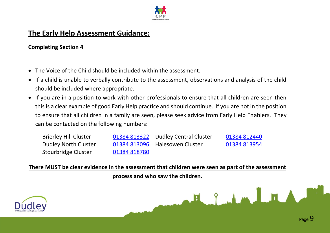

## **The Early Help Assessment Guidance:**

## **Completing Section 4**

- The Voice of the Child should be included within the assessment.
- If a child is unable to verbally contribute to the assessment, observations and analysis of the child should be included where appropriate.
- If you are in a position to work with other professionals to ensure that all children are seen then this is a clear example of good Early Help practice and should continue. If you are not in the position to ensure that all children in a family are seen, please seek advice from Early Help Enablers. They can be contacted on the following numbers:

| <b>Brierley Hill Cluster</b> |              | 01384 813322 Dudley Central Cluster | 01384 812440 |
|------------------------------|--------------|-------------------------------------|--------------|
| Dudley North Cluster         |              | 01384 813096 Halesowen Cluster      | 01384 813954 |
| Stourbridge Cluster          | 01384 818780 |                                     |              |

**There MUST be clear evidence in the assessment that children were seen as part of the assessment** 

**process and who saw the children.**



F. J. L. L. L. T.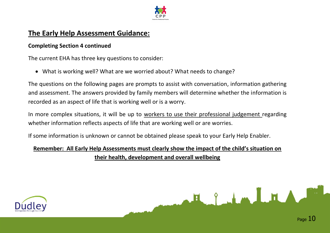

## **The Early Help Assessment Guidance:**

## **Completing Section 4 continued**

The current EHA has three key questions to consider:

What is working well? What are we worried about? What needs to change?

The questions on the following pages are prompts to assist with conversation, information gathering and assessment. The answers provided by family members will determine whether the information is recorded as an aspect of life that is working well or is a worry.

In more complex situations, it will be up to workers to use their professional judgement regarding whether information reflects aspects of life that are working well or are worries.

If some information is unknown or cannot be obtained please speak to your Early Help Enabler.

## **Remember: All Early Help Assessments must clearly show the impact of the child's situation on their health, development and overall wellbeing**





FL 9 Jun I FL 1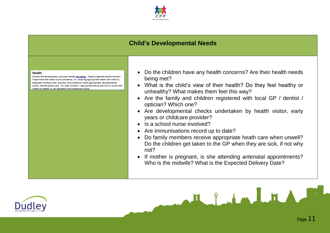

## **Child's Developmental Needs**

#### Health

Growth and development, physical/mental well being, impact of genetic factors and any impairment that needs to be considered. Inc. receiving appropriate health care when ill, adequate nutritious diet, exercise, immunisations where appropriate, developmental checks, dental/optical care. For older children - appropriate advice and info on issues that impact on health i.e. sex education and substance misuse

- Do the children have any health concerns? Are their health needs being met?
- What is the child's view of their health? Do they feel healthy or unhealthy? What makes them feel this way?
- Are the family and children registered with local GP / dentist / optician? Which one?
- Are developmental checks undertaken by health visitor, early years or childcare provider?
- Is a school nurse involved?
- Are immunisations record up to date?
- Do family members receive appropriate heath care when unwell? Do the children get taken to the GP when they are sick, if not why not?
- If mother is pregnant, is she attending antenatal appointments? Who is the midwife? What is the Expected Delivery Date?

Elimini

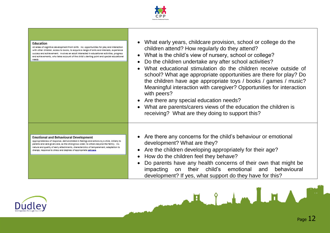

#### Education

All areas of cognitive development from birth. Inc. opportunities for play and interaction with other children, access to books, to acquire a range of skills and interests, experience success and achievement. Involves an adult interested in educational activities, progress and achievements, who takes account of the child's starting point and special educational needs

- What early years, childcare provision, school or college do the children attend? How regularly do they attend?
- What is the child's view of nursery, school or college?
- Do the children undertake any after school activities?
- What educational stimulation do the children receive outside of school? What age appropriate opportunities are there for play? Do the children have age appropriate toys / books / games / music? Meaningful interaction with caregiver? Opportunities for interaction with peers?
- Are there any special education needs?
- What are parents/carers views of the education the children is receiving? What are they doing to support this?

#### **Emotional and Behavioural Development**

Appropriateness of response, demonstrated in feelings and actions by a child, initially to parents and care givers and, as the child grows older, to others beyond the family. Inc. nature and quality of early attachments, characteristics of temperament, adaptation to change, response to stress and degrees of appropriate self-cape

- Are there any concerns for the child's behaviour or emotional development? What are they?
- Are the children developing appropriately for their age?
- How do the children feel they behave?
- Do parents have any health concerns of their own that might be impacting on their child's emotional and behavioural development? If yes, what support do they have for this?

E I HALT

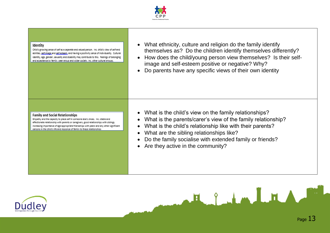

#### Identity

Child's growing sense of self as a separate and valued person. Inc. child's view of self and abilities, self image and self esteem, and having a positivity sense of individuality. Cultural identity, age, gender, sexuality and disability may contribute to this. Feelings of belonging and acceptance by family, peer group and wider society, Inc. other cultural groups.

- What ethnicity, culture and religion do the family identify themselves as? Do the children identify themselves differently?
- How does the child/voung person view themselves? Is their selfimage and self-esteem positive or negative? Why?
- Do parents have any specific views of their own identity

**Family and Social Relationships** 

Empethy and the capacity to place self in someone else's shoes. Inc. stable and affectionate relationship with parents or caregivers, good relationships with siblings, increasing importance of age appropriate friendships with peers and any other significant persons in the child's life and response of family to these relationships

- What is the child's view on the family relationships?
- What is the parents/carer's view of the family relationship?
- What is the child's relationship like with their parents?
- What are the sibling relationships like?
- Do the family socialise with extended family or friends?

H g Lm L H A

• Are they active in the community?

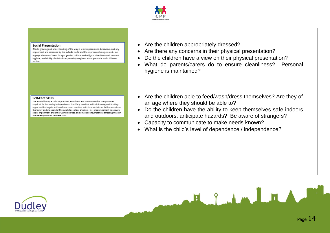

#### **Social Presentation**

Child's growing and understanding of the way in which appearance, behaviour, and any impairment are perceived by the outside world and the impression being created. Inc. appropriateness of dress for age, gender, culture, and religion, cleanliness and personal hygiene, availability of advice from parents/caregivers about presentation in different settings

#### Self-Care Skills

The acquisition by a child of practical, emotional and communication competences required for increasing independence. Inc. Early practical skills of dressing and feeding. opportunities to gain self-confidence and practical skills to undertake activities away from the family and independent living skills as older children. Inc. encouragement to acquire social impairment and other vulnerabilities, and on social circumstances affecting these in the development of self-care skills

- Are the children appropriately dressed?
- Are there any concerns in their physical presentation?
- Do the children have a view on their physical presentation?
- What do parents/carers do to ensure cleanliness? Personal hygiene is maintained?
- Are the children able to feed/wash/dress themselves? Are they of an age where they should be able to?
- Do the children have the ability to keep themselves safe indoors and outdoors, anticipate hazards? Be aware of strangers?

H & Lm LH

- Capacity to communicate to make needs known?
- What is the child's level of dependence / independence?



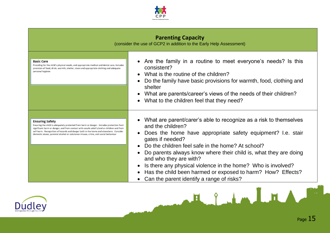

| <b>Parenting Capacity</b> |  |
|---------------------------|--|
|---------------------------|--|

(consider the use of GCP2 in addition to the Early Help Assessment)

#### **Basic Care**

Providing for the child's physical needs, and appropriate medical and dental care, includes provision of food, drink, warmth, shelter, clean and appropriate clothing and adequate personal hygiene

- Are the family in a routine to meet everyone's needs? Is this consistent?
- What is the routine of the children?
- Do the family have basic provisions for warmth, food, clothing and shelter
- What are parents/career's views of the needs of their children?
- What to the children feel that they need?

#### **Ensuring Safety**

Ensuring the child is adequately protected from harm or danger. Includes protection from simificant harm or danger, and from contact with unsafe adult's/and or children and from self-harm. Recognition of hazards and danger both in the home and elsewhere. Consider domestic abuse, parental alcohol or substance misuse, crime, anti-social behaviour

- What are parent/carer's able to recognize as a risk to themselves and the children?
- Does the home have appropriate safety equipment? I.e. stair gates if needed?
- Do the children feel safe in the home? At school?
- Do parents always know where their child is, what they are doing and who they are with?
- Is there any physical violence in the home? Who is involved?
- Has the child been harmed or exposed to harm? How? Effects?

E I HALLEA

• Can the parent identify a range of risks?

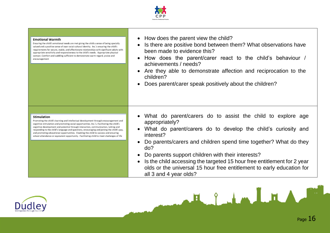

#### **Emotional Warmth**

Ensuring the child's emotional needs are met giving the child a sense of being specially valued and a positive sense of own racial cultural identity. Inc.'s ensuring the child's requirements for secure, stable, and affectionate relationships with significant adults with appropriate sensitivity and responsiveness to the child's needs. Appropriate physical contact. Comfort and cuddling sufficient to demonstrate warm regard, praise and encouragement

- How does the parent view the child?
- Is there are positive bond between them? What observations have been made to evidence this?
- How does the parent/carer react to the child's behaviour / achievements / needs?
- Are they able to demonstrate affection and reciprocation to the children?
- Does parent/carer speak positively about the children?

#### Stimulation

Promoting the child's learning and intellectual development through encouragement and cognitive stimulation and promoting social opportunities. Inc.'s. Facilitating the child's cognitive development and potential through interaction, communication, talking and responding to the child's language and questions, encouraging and joining the child's pay, and promoting educational opportunities. Enabling the child to success and ensuring school attendance or equivalent opportunity. Facilitating child to meet challenges of life

- What do parent/carers do to assist the child to explore age appropriately?
- What do parent/carers do to develop the child's curiosity and interest?
- Do parents/carers and children spend time together? What do they do?
- Do parents support children with their interests?
- Is the child accessing the targeted 15 hour free entitlement for 2 year olds or the universal 15 hour free entitlement to early education for all 3 and 4 year olds?

FL S LA LA

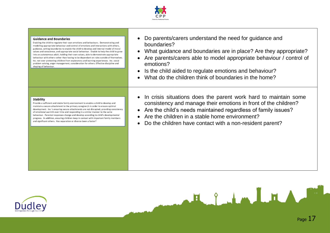

#### **Guidance and Boundaries**

Enabling the child to regulate their own emotions and behaviours. Demonstrating and modelling appropriate behaviour and control of emotions and interactions with others, guidance, setting boundaries to enable the child to develop and internal model of moral values and conscience, and appropriate social behaviour. Enable to help the child to grow into an autonomous adult, holding their own values, able to demonstrate appropriate behaviour with others rather than having to be dependant on rules outside of themselves. Inc. not over protecting children from exploratory and learning experiences. Inc. social problem solving, anger management, consideration for others. Effective discipline and shaping of behaviour

- Do parents/carers understand the need for guidance and boundaries?
- What guidance and boundaries are in place? Are they appropriate?
- Are parents/carers able to model appropriate behaviour / control of emotions?
- Is the child aided to regulate emotions and behaviour?
- What do the children think of boundaries in the home?

#### Stability

Provide a sufficient and stable family environment to enable a child to develop and maintain a secure attachment to the primary caregiver/s in order to ensure optimal development. Inc.'s ensuring secure attachments are not disrupted, providing consistency of emotional warmth over time and responding in a similar manner to the same behaviour. Parental responses change and develop according to child's developmental progress. In addition, ensuring children keep in contact with important family members and significant others. Has separation or divorce been a factor?

• In crisis situations does the parent work hard to maintain some consistency and manage their emotions in front of the children?

Fleith LEA

- Are the child's needs maintained regardless of family issues?
- Are the children in a stable home environment?
- Do the children have contact with a non-resident parent?

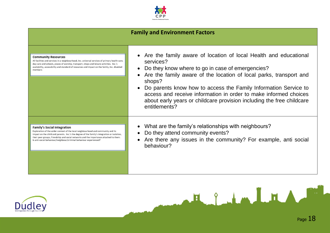

## **Family and Environment Factors**

#### **Community Resources**

All facilities and services in a neighbourhood, Inc. universal services of primary health care, day care and schools, places of worship, transport, shops and leisure activities. Inc.'s availability, accessibility and standard of resources and impact on the family, inc. disabled members

#### **Family's Social Integration**

Exploration of the wider context of the local neighbourhood and community and its impact on the child and parents. Inc.'s the degree of the family's integration or isolation. their peer groups. friendship and social networks and the importance attached to them. Is anti-social behaviour/neighbour/criminal behaviour experienced?

- Are the family aware of location of local Health and educational services?
- Do they know where to go in case of emergencies?
- Are the family aware of the location of local parks, transport and shops?
- Do parents know how to access the Family Information Service to access and receive information in order to make informed choices about early years or childcare provision including the free childcare entitlements?
- What are the family's relationships with neighbours?
- Do they attend community events?
- Are there any issues in the community? For example, anti social behaviour?

Egyhmlml

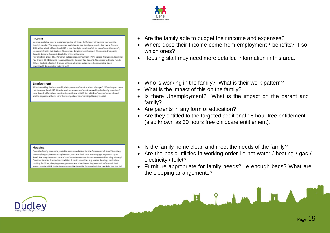

#### Income

Income available over a sustained period of time. Sufficiency of income to meet the family's needs. The way resources available to the family are used. Are there financial difficulties which affect the child? Is the family in receipt of all its benefit entitlements?: Universal Credit, Job Seekers Allowance, Employment Support Allowance, Incapacity Benefit, Income Support, Disability Living Allowance (for children under 16), Personal Independence Payment (PIP), Carers Allowance, Working Tax Credit, Child Benefit, Housing Benefit, Council Tax Benefit, No access to Public Funds. Other. Is debt a factor? Discuss utilise and other outgoings - has spending been prioritised? Is spending priortitised?

#### Employment

Who is working the household, their pattern of work and any changes? What impact does this have on the child? How is work or absence of work viewed by the family members? How does it affect their relationship with the child? Inc. children's experiences of work and its impact on them. Are there any education/training/literacy needs?

- Are the family able to budget their income and expenses?
- Where does their Income come from employment / benefits? If so, which ones?
- Housing staff may need more detailed information in this area.
- Who is working in the family? What is their work pattern?
- What is the impact of this on the family?
- Is there Unemployment? What is the impact on the parent and family?
- Are parents in any form of education?
- Are they entitled to the targeted additional 15 hour free entitlement (also known as 30 hours free childcare entitlement).

#### Housing

Does the family have safe, suitable accommodation for the foreseeable future? Are they tenants/lodgers/owner occupiers etc., and are their rent or mortgage payments up to date? Are they homeless or at risk of homelessness or have an unsettled housing history? Consider interior & exterior condition & basic amenities e.g. water, heating, sanitation, cooking facilities, sleeping arrangements and cleanliness, hygiene and safety and their impact on the child, is the home accessible/suitable for any disability needs in the family?

- Is the family home clean and meet the needs of the family?
- Are the basic utilities in working order i.e hot water / heating / gas / electricity / toilet?
- Furniture appropriate for family needs? i.e enough beds? What are the sleeping arrangements?

Eliminat

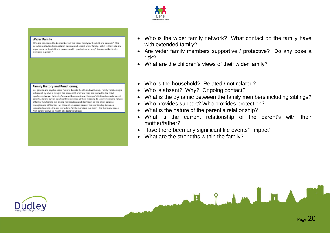

#### Wider Family

Who are considered to be members of the wider family by the child and parents? This includes related and non-related persons and absent wider family. What is their role and importance to the child and parents and in precisely what way? Are any wider family members in prison?

#### **Family History and Functioning**

Inc. genetic and psycho-social factors. Mental health and wellbeing. Family functioning is influenced by who is living in the household and how they are related to the child; significant changes in family/household composition; history of childhood experiences of parents, chronology of significant life events and their meaning to family members, nature of family functioning Inc. sibling relationships and its impact on the child; parental strengths and difficulties Inc. those of an absent parent; the relationship between senarated parent. Are any immediate family members in prison? Are there any issues with parent's physical health or substance abuse?

- Who is the wider family network? What contact do the family have with extended family?
- Are wider family members supportive / protective? Do any pose a risk?
- What are the children's views of their wider family?
- Who is the household? Related / not related?
- Who is absent? Why? Ongoing contact?
- What is the dynamic between the family members including siblings?
- Who provides support? Who provides protection?
- What is the nature of the parent's relationship?
- What is the current relationship of the parent's with their mother/father?

Herberton Lot Andrew

- Have there been any significant life events? Impact?
- What are the strengths within the family?



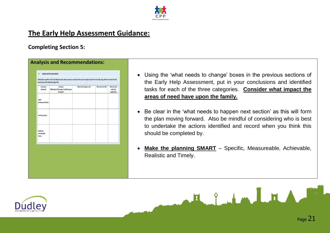

## **The Early Help Assessment Guidance:**

## **Completing Section 5:**

**Analysis and Recommendations:**

| Assessment<br>Framework                | Conclusion<br>(What impact do the areas of need have upon<br>the family?) | What needs to happen next? | Who needs to do this? | When does this<br>need to be<br>completed by? |
|----------------------------------------|---------------------------------------------------------------------------|----------------------------|-----------------------|-----------------------------------------------|
| Child's<br><b>Developmental Needs</b>  |                                                                           |                            |                       |                                               |
| <b>Parenting Capacity</b>              |                                                                           |                            |                       |                                               |
| Family and<br>Environmental<br>Factors |                                                                           |                            |                       |                                               |
|                                        |                                                                           |                            |                       |                                               |

- Using the 'what needs to change' boxes in the previous sections of the Early Help Assessment, put in your conclusions and identified tasks for each of the three categories. **Consider what impact the areas of need have upon the family.**
- Be clear in the 'what needs to happen next section' as this will form the plan moving forward. Also be mindful of considering who is best to undertake the actions identified and record when you think this should be completed by.
- **Make the planning SMART** Specific, Measureable, Achievable, Realistic and Timely.

Helen LHA

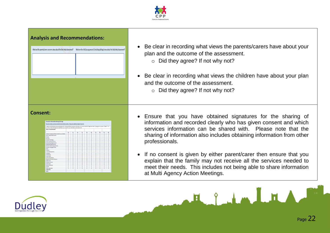





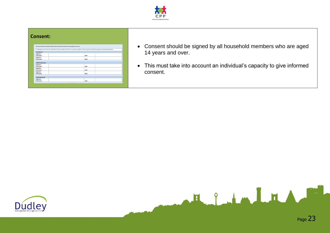

### **Consent:**

|                           | I understand and confirm the information that is recorded on this form is accurate, and that it will be stored and used for the purposes of providing support to: |  |
|---------------------------|-------------------------------------------------------------------------------------------------------------------------------------------------------------------|--|
| Parent/Carer              |                                                                                                                                                                   |  |
| Signature:<br>Print name: | Date:                                                                                                                                                             |  |
| Signature:<br>Print name: | Date:                                                                                                                                                             |  |
| Child/Young Person        |                                                                                                                                                                   |  |
| Signature:<br>Print name: | Date:                                                                                                                                                             |  |
| Signature:<br>Print name: | Date:                                                                                                                                                             |  |
| Signature:<br>Print name: | Date:                                                                                                                                                             |  |
| <b>Lead Professional</b>  |                                                                                                                                                                   |  |
| Signature:<br>Print name: | Date:                                                                                                                                                             |  |

- Consent should be signed by all household members who are aged 14 years and over.
- This must take into account an individual's capacity to give informed consent.